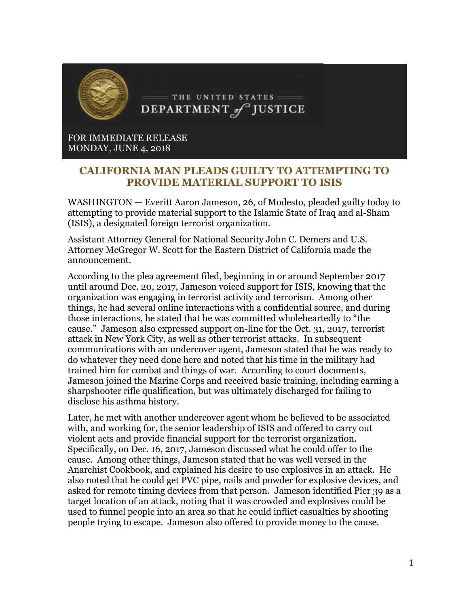

FOR IMMEDIATE RELEASE MONDAY, JUNE 4, 2018

## **CALIFORNIA MAN PLEADS GUILTY TO ATTEMPTING TO PROVIDE MATERIAL SUPPORT TO ISIS**

WASHINGTON — Everitt Aaron Jameson, 26, of Modesto, pleaded guilty today to attempting to provide material support to the Islamic State of Iraq and al-Sham (ISIS), a designated foreign terrorist organization.

Assistant Attorney General for National Security John C. Demers and U.S. Attorney McGregor W. Scott for the Eastern District of California made the announcement.

According to the plea agreement filed, beginning in or around September 2017 until around Dec. 20, 2017, Jameson voiced support for ISIS, knowing that the organization was engaging in terrorist activity and terrorism. Among other things, he had several online interactions with a confidential source, and during those interactions, he stated that he was committed wholeheartedly to "the cause." Jameson also expressed support on-line for the Oct. 31, 2017, terrorist attack in New York City, as well as other terrorist attacks. In subsequent communications with an undercover agent, Jameson stated that he was ready to do whatever they need done here and noted that his time in the military had trained him for combat and things of war. According to court documents, Jameson joined the Marine Corps and received basic training, including earning a sharpshooter rifle qualification, but was ultimately discharged for failing to disclose his asthma history.

Later, he met with another undercover agent whom he believed to be associated with, and working for, the senior leadership of ISIS and offered to carry out violent acts and provide financial support for the terrorist organization. Specifically, on Dec. 16, 2017, Jameson discussed what he could offer to the cause. Among other things, Jameson stated that he was well versed in the Anarchist Cookbook, and explained his desire to use explosives in an attack. He also noted that he could get PVC pipe, nails and powder for explosive devices, and asked for remote timing devices from that person. Jameson identified Pier 39 as a target location of an attack, noting that it was crowded and explosives could be used to funnel people into an area so that he could inflict casualties by shooting people trying to escape. Jameson also offered to provide money to the cause.